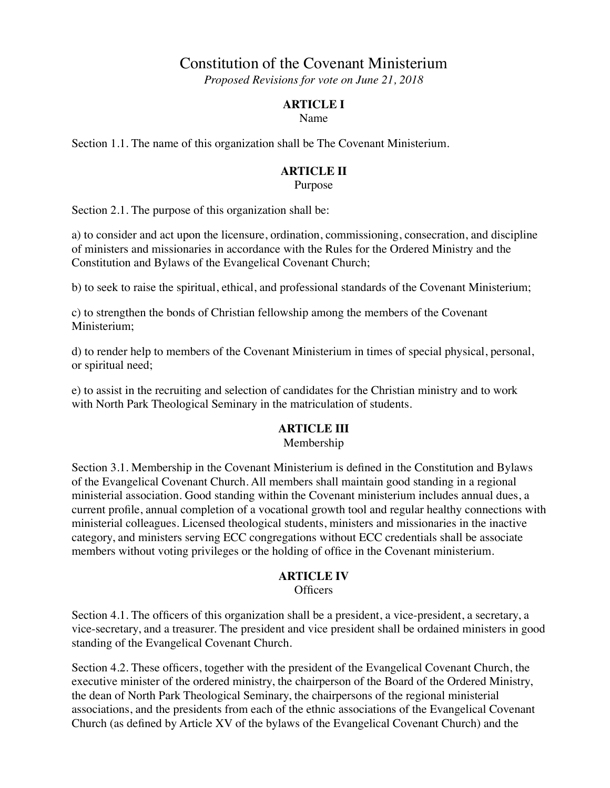# Constitution of the Covenant Ministerium

*Proposed Revisions for vote on June 21, 2018*

#### **ARTICLE I**

Name

Section 1.1. The name of this organization shall be The Covenant Ministerium.

## **ARTICLE II**

Purpose

Section 2.1. The purpose of this organization shall be:

a) to consider and act upon the licensure, ordination, commissioning, consecration, and discipline of ministers and missionaries in accordance with the Rules for the Ordered Ministry and the Constitution and Bylaws of the Evangelical Covenant Church;

b) to seek to raise the spiritual, ethical, and professional standards of the Covenant Ministerium;

c) to strengthen the bonds of Christian fellowship among the members of the Covenant Ministerium;

d) to render help to members of the Covenant Ministerium in times of special physical, personal, or spiritual need;

e) to assist in the recruiting and selection of candidates for the Christian ministry and to work with North Park Theological Seminary in the matriculation of students.

#### **ARTICLE III**

Membership

Section 3.1. Membership in the Covenant Ministerium is defined in the Constitution and Bylaws of the Evangelical Covenant Church. All members shall maintain good standing in a regional ministerial association. Good standing within the Covenant ministerium includes annual dues, a current profile, annual completion of a vocational growth tool and regular healthy connections with ministerial colleagues. Licensed theological students, ministers and missionaries in the inactive category, and ministers serving ECC congregations without ECC credentials shall be associate members without voting privileges or the holding of office in the Covenant ministerium.

#### **ARTICLE IV**

**Officers** 

Section 4.1. The officers of this organization shall be a president, a vice-president, a secretary, a vice-secretary, and a treasurer. The president and vice president shall be ordained ministers in good standing of the Evangelical Covenant Church.

Section 4.2. These officers, together with the president of the Evangelical Covenant Church, the executive minister of the ordered ministry, the chairperson of the Board of the Ordered Ministry, the dean of North Park Theological Seminary, the chairpersons of the regional ministerial associations, and the presidents from each of the ethnic associations of the Evangelical Covenant Church (as defined by Article XV of the bylaws of the Evangelical Covenant Church) and the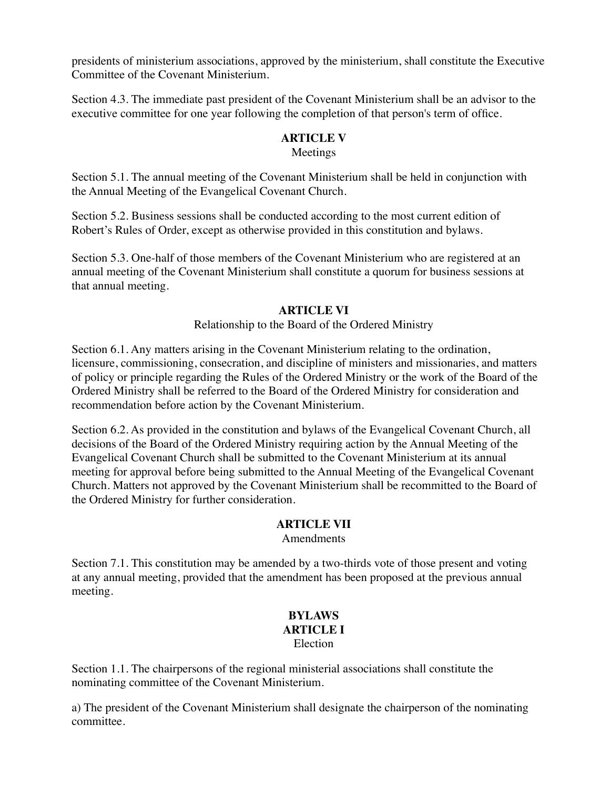presidents of ministerium associations, approved by the ministerium, shall constitute the Executive Committee of the Covenant Ministerium.

Section 4.3. The immediate past president of the Covenant Ministerium shall be an advisor to the executive committee for one year following the completion of that person's term of office.

# **ARTICLE V**

# Meetings

Section 5.1. The annual meeting of the Covenant Ministerium shall be held in conjunction with the Annual Meeting of the Evangelical Covenant Church.

Section 5.2. Business sessions shall be conducted according to the most current edition of Robert's Rules of Order, except as otherwise provided in this constitution and bylaws.

Section 5.3. One-half of those members of the Covenant Ministerium who are registered at an annual meeting of the Covenant Ministerium shall constitute a quorum for business sessions at that annual meeting.

## **ARTICLE VI**

Relationship to the Board of the Ordered Ministry

Section 6.1. Any matters arising in the Covenant Ministerium relating to the ordination, licensure, commissioning, consecration, and discipline of ministers and missionaries, and matters of policy or principle regarding the Rules of the Ordered Ministry or the work of the Board of the Ordered Ministry shall be referred to the Board of the Ordered Ministry for consideration and recommendation before action by the Covenant Ministerium.

Section 6.2. As provided in the constitution and bylaws of the Evangelical Covenant Church, all decisions of the Board of the Ordered Ministry requiring action by the Annual Meeting of the Evangelical Covenant Church shall be submitted to the Covenant Ministerium at its annual meeting for approval before being submitted to the Annual Meeting of the Evangelical Covenant Church. Matters not approved by the Covenant Ministerium shall be recommitted to the Board of the Ordered Ministry for further consideration.

## **ARTICLE VII**

Amendments

Section 7.1. This constitution may be amended by a two-thirds vote of those present and voting at any annual meeting, provided that the amendment has been proposed at the previous annual meeting.

#### **BYLAWS ARTICLE I** Election

Section 1.1. The chairpersons of the regional ministerial associations shall constitute the nominating committee of the Covenant Ministerium.

a) The president of the Covenant Ministerium shall designate the chairperson of the nominating committee.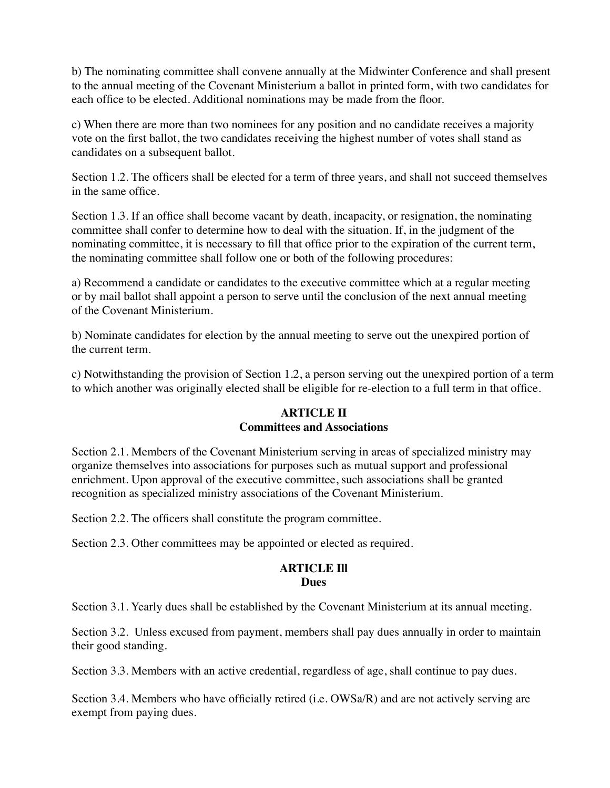b) The nominating committee shall convene annually at the Midwinter Conference and shall present to the annual meeting of the Covenant Ministerium a ballot in printed form, with two candidates for each office to be elected. Additional nominations may be made from the floor.

c) When there are more than two nominees for any position and no candidate receives a majority vote on the first ballot, the two candidates receiving the highest number of votes shall stand as candidates on a subsequent ballot.

Section 1.2. The officers shall be elected for a term of three years, and shall not succeed themselves in the same office.

Section 1.3. If an office shall become vacant by death, incapacity, or resignation, the nominating committee shall confer to determine how to deal with the situation. If, in the judgment of the nominating committee, it is necessary to fill that office prior to the expiration of the current term, the nominating committee shall follow one or both of the following procedures:

a) Recommend a candidate or candidates to the executive committee which at a regular meeting or by mail ballot shall appoint a person to serve until the conclusion of the next annual meeting of the Covenant Ministerium.

b) Nominate candidates for election by the annual meeting to serve out the unexpired portion of the current term.

c) Notwithstanding the provision of Section 1.2, a person serving out the unexpired portion of a term to which another was originally elected shall be eligible for re-election to a full term in that office.

#### **ARTICLE II Committees and Associations**

Section 2.1. Members of the Covenant Ministerium serving in areas of specialized ministry may organize themselves into associations for purposes such as mutual support and professional enrichment. Upon approval of the executive committee, such associations shall be granted recognition as specialized ministry associations of the Covenant Ministerium.

Section 2.2. The officers shall constitute the program committee.

Section 2.3. Other committees may be appointed or elected as required.

#### **ARTICLE Ill Dues**

Section 3.1. Yearly dues shall be established by the Covenant Ministerium at its annual meeting.

Section 3.2. Unless excused from payment, members shall pay dues annually in order to maintain their good standing.

Section 3.3. Members with an active credential, regardless of age, shall continue to pay dues.

Section 3.4. Members who have officially retired (i.e. OWSa/R) and are not actively serving are exempt from paying dues.